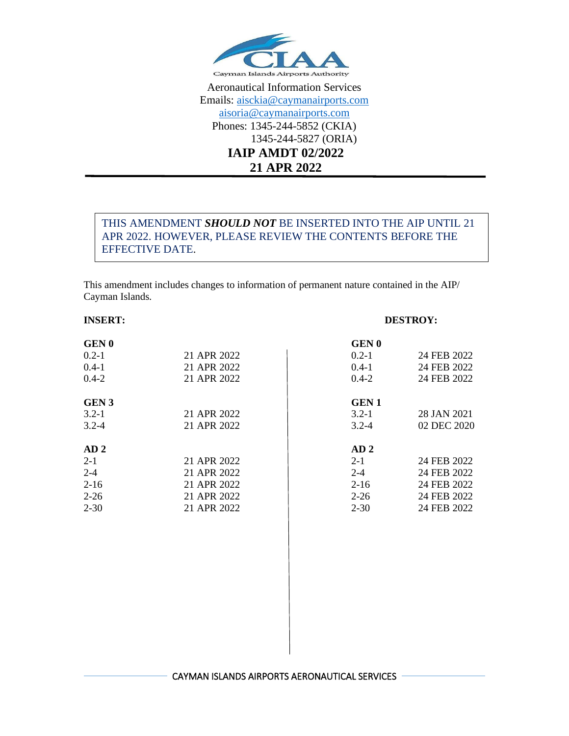

Aeronautical Information Services Emails: [aisckia@caymanairports.com](mailto:aisckia@caymanairports.com) [aisoria@caymanairports.com](mailto:aisoria@caymanairports.com) Phones: 1345-244-5852 (CKIA) 1345-244-5827 (ORIA) **IAIP AMDT 02/2022 21 APR 2022**

# THIS AMENDMENT *SHOULD NOT* BE INSERTED INTO THE AIP UNTIL 21 APR 2022. HOWEVER, PLEASE REVIEW THE CONTENTS BEFORE THE EFFECTIVE DATE.

This amendment includes changes to information of permanent nature contained in the AIP/ Cayman Islands.

## **INSERT: DESTROY:**

| <b>GEN0</b>     |             | <b>GEN0</b>     |             |
|-----------------|-------------|-----------------|-------------|
| $0.2 - 1$       | 21 APR 2022 | $0.2 - 1$       | 24 FEB 2022 |
| $0.4-1$         | 21 APR 2022 | $0.4-1$         | 24 FEB 2022 |
| $0.4 - 2$       | 21 APR 2022 | $0.4 - 2$       | 24 FEB 2022 |
|                 |             |                 |             |
| <b>GEN 3</b>    |             | <b>GEN1</b>     |             |
| $3.2 - 1$       | 21 APR 2022 | $3.2 - 1$       | 28 JAN 2021 |
| $3.2 - 4$       | 21 APR 2022 | $3.2 - 4$       | 02 DEC 2020 |
| AD <sub>2</sub> |             | AD <sub>2</sub> |             |
| $2 - 1$         | 21 APR 2022 | $2 - 1$         | 24 FEB 2022 |
| $2 - 4$         | 21 APR 2022 | $2 - 4$         | 24 FEB 2022 |
| $2-16$          | 21 APR 2022 | $2 - 16$        | 24 FEB 2022 |
| $2 - 26$        | 21 APR 2022 | $2 - 26$        | 24 FEB 2022 |
| $2 - 30$        | 21 APR 2022 | $2 - 30$        | 24 FEB 2022 |
|                 |             |                 |             |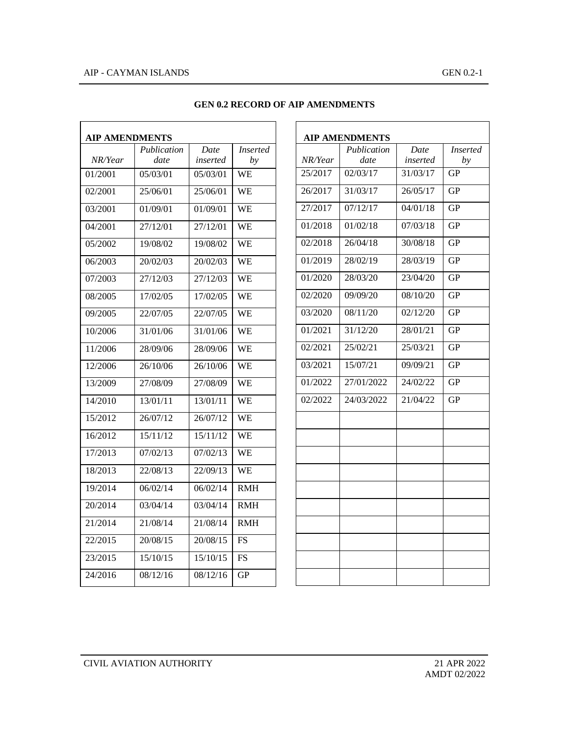## AIP - CAYMAN ISLANDS GEN 0.2-1

| <b>AIP AMENDMENTS</b> |             |          |                 |  |  |
|-----------------------|-------------|----------|-----------------|--|--|
|                       | Publication | Date     | <i>Inserted</i> |  |  |
| NR/Year               | date        | inserted | bν              |  |  |
| 01/2001               | 05/03/01    | 05/03/01 | WE              |  |  |
| 02/2001               | 25/06/01    | 25/06/01 | WE              |  |  |
| 03/2001               | 01/09/01    | 01/09/01 | WE              |  |  |
| 04/2001               | 27/12/01    | 27/12/01 | <b>WE</b>       |  |  |
| 05/2002               | 19/08/02    | 19/08/02 | WE              |  |  |
| 06/2003               | 20/02/03    | 20/02/03 | WE              |  |  |
| 07/2003               | 27/12/03    | 27/12/03 | <b>WE</b>       |  |  |
| 08/2005               | 17/02/05    | 17/02/05 | WE              |  |  |
| 09/2005               | 22/07/05    | 22/07/05 | <b>WE</b>       |  |  |
| 10/2006               | 31/01/06    | 31/01/06 | WE              |  |  |
| 11/2006               | 28/09/06    | 28/09/06 | WE              |  |  |
| 12/2006               | 26/10/06    | 26/10/06 | <b>WE</b>       |  |  |
| 13/2009               | 27/08/09    | 27/08/09 | WE              |  |  |
| 14/2010               | 13/01/11    | 13/01/11 | <b>WE</b>       |  |  |
| 15/2012               | 26/07/12    | 26/07/12 | WE              |  |  |
| 16/2012               | 15/11/12    | 15/11/12 | <b>WE</b>       |  |  |
| 17/2013               | 07/02/13    | 07/02/13 | WE              |  |  |
| 18/2013               | 22/08/13    | 22/09/13 | WE              |  |  |
| 19/2014               | 06/02/14    | 06/02/14 | <b>RMH</b>      |  |  |
| 20/2014               | 03/04/14    | 03/04/14 | <b>RMH</b>      |  |  |
| 21/2014               | 21/08/14    | 21/08/14 | <b>RMH</b>      |  |  |
| 22/2015               | 20/08/15    | 20/08/15 | FS              |  |  |
| 23/2015               | 15/10/15    | 15/10/15 | FS              |  |  |
| 24/2016               | 08/12/16    | 08/12/16 | GР              |  |  |

#### **GEN 0.2 RECORD OF AIP AMENDMENTS**

| <b>AIP AMENDMENTS</b> |             |          |           |  |  |
|-----------------------|-------------|----------|-----------|--|--|
|                       | Publication | Date     | Inserted  |  |  |
| NR/Year               | date        | inserted | by        |  |  |
| 25/2017               | 02/03/17    | 31/03/17 | GP        |  |  |
| 26/2017               | 31/03/17    | 26/05/17 | GP        |  |  |
| 27/2017               | 07/12/17    | 04/01/18 | GР        |  |  |
| 01/2018               | 01/02/18    | 07/03/18 | GP        |  |  |
| 02/2018               | 26/04/18    | 30/08/18 | GP        |  |  |
| 01/2019               | 28/02/19    | 28/03/19 | GР        |  |  |
| 01/2020               | 28/03/20    | 23/04/20 | GP        |  |  |
| 02/2020               | 09/09/20    | 08/10/20 | GР        |  |  |
| 03/2020               | 08/11/20    | 02/12/20 | GP        |  |  |
| 01/2021               | 31/12/20    | 28/01/21 | GP        |  |  |
| 02/2021               | 25/02/21    | 25/03/21 | GP        |  |  |
| 03/2021               | 15/07/21    | 09/09/21 | GP        |  |  |
| 01/2022               | 27/01/2022  | 24/02/22 | GР        |  |  |
| 02/2022               | 24/03/2022  | 21/04/22 | <b>GP</b> |  |  |
|                       |             |          |           |  |  |
|                       |             |          |           |  |  |
|                       |             |          |           |  |  |
|                       |             |          |           |  |  |
|                       |             |          |           |  |  |
|                       |             |          |           |  |  |
|                       |             |          |           |  |  |
|                       |             |          |           |  |  |
|                       |             |          |           |  |  |
|                       |             |          |           |  |  |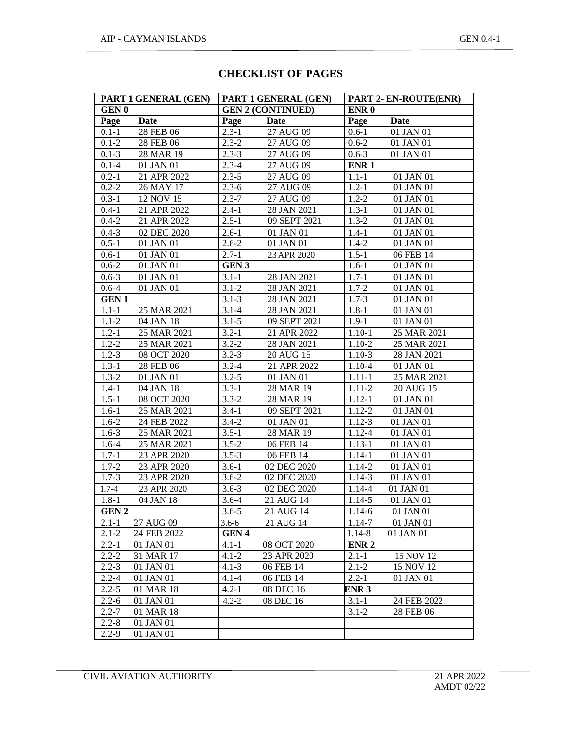# **CHECKLIST OF PAGES**

| PART 1 GENERAL (GEN) |             | PART 1 GENERAL (GEN) |                          | PART 2- EN-ROUTE(ENR) |             |
|----------------------|-------------|----------------------|--------------------------|-----------------------|-------------|
| <b>GEN0</b>          |             |                      | <b>GEN 2 (CONTINUED)</b> | ENR <sub>0</sub>      |             |
| Page                 | <b>Date</b> | Page                 | Date                     | Page                  | Date        |
| $0.1 - 1$            | 28 FEB 06   | $2.3 - 1$            | 27 AUG 09                | $0.6 - 1$             | 01 JAN 01   |
| $0.1 - 2$            | 28 FEB 06   | $2.3 - 2$            | 27 AUG 09                | $0.6 - 2$             | 01 JAN 01   |
| $0.1 - 3$            | 28 MAR 19   | $2.3 - 3$            | 27 AUG 09                | $0.6 - 3$             | 01 JAN 01   |
| $0.1 - 4$            | 01 JAN 01   | $2.3 - 4$            | 27 AUG 09                | ENR <sub>1</sub>      |             |
| $0.2 - 1$            | 21 APR 2022 | $2.3 - 5$            | 27 AUG 09                | $1.1 - 1$             | 01 JAN 01   |
| $0.2 - 2$            | 26 MAY 17   | $2.3 - 6$            | 27 AUG 09                | $1.2 - 1$             | 01 JAN 01   |
| $0.3 - 1$            | 12 NOV 15   | $2.3 - 7$            | 27 AUG 09                | $1.2 - 2$             | 01 JAN 01   |
| $0.4 - 1$            | 21 APR 2022 | $2.4 - 1$            | 28 JAN 2021              | $1.3 - 1$             | 01 JAN 01   |
| $0.4 - 2$            | 21 APR 2022 | $2.5 - 1$            | 09 SEPT 2021             | $1.3 - 2$             | 01 JAN 01   |
| $0.4 - 3$            | 02 DEC 2020 | $2.6 - 1$            | 01 JAN 01                | $1.4 - 1$             | 01 JAN 01   |
| $0.5 - 1$            | 01 JAN 01   | $2.6 - 2$            | 01 JAN 01                | $1.4 - 2$             | 01 JAN 01   |
| $0.6 - 1$            | 01 JAN 01   | $2.7 - 1$            | 23 APR 2020              | $1.5 - 1$             | 06 FEB 14   |
| $0.6 - 2$            | 01 JAN 01   | GEN <sub>3</sub>     |                          | $1.6 - 1$             | 01 JAN 01   |
| $0.6 - 3$            | 01 JAN 01   | $3.1 - 1$            | 28 JAN 2021              | $1.7 - 1$             | 01 JAN 01   |
| $0.6 - 4$            | 01 JAN 01   | $3.1 - 2$            | 28 JAN 2021              | $1.7 - 2$             | 01 JAN 01   |
| <b>GEN1</b>          |             | $3.1 - 3$            | 28 JAN 2021              | $1.7 - 3$             | 01 JAN 01   |
| $1.1 - 1$            | 25 MAR 2021 | $3.1 - 4$            | 28 JAN 2021              | $1.8 - 1$             | 01 JAN 01   |
| $1.1 - 2$            | 04 JAN 18   | $3.1 - 5$            | 09 SEPT 2021             | $1.9 - 1$             | 01 JAN 01   |
| $1.2 - 1$            | 25 MAR 2021 | $3.2 - 1$            | 21 APR 2022              | $1.10 - 1$            | 25 MAR 2021 |
| $1.2 - 2$            | 25 MAR 2021 | $3.2 - 2$            | 28 JAN 2021              | $1.10 - 2$            | 25 MAR 2021 |
| $1.2 - 3$            | 08 OCT 2020 | $3.2 - 3$            | 20 AUG 15                | $1.10-3$              | 28 JAN 2021 |
| $1.3 - 1$            | 28 FEB 06   | $3.2 - 4$            | 21 APR 2022              | $1.10 - 4$            | 01 JAN 01   |
| $1.3 - 2$            | 01 JAN 01   | $3.2 - 5$            | 01 JAN 01                | $1.11 - 1$            | 25 MAR 2021 |
| $1.4 - 1$            | 04 JAN 18   | $3.3 - 1$            | 28 MAR 19                | $1.11 - 2$            | 20 AUG 15   |
| $1.5 - 1$            | 08 OCT 2020 | $3.3 - 2$            | 28 MAR 19                | $1.12 - 1$            | 01 JAN 01   |
| $1.6 - 1$            | 25 MAR 2021 | $3.4 - 1$            | 09 SEPT 2021             | $1.12 - 2$            | 01 JAN 01   |
| $1.6 - 2$            | 24 FEB 2022 | $3.4 - 2$            | 01 JAN 01                | $1.12 - 3$            | 01 JAN 01   |
| $1.6 - 3$            | 25 MAR 2021 | $3.5 - 1$            | 28 MAR 19                | 1.12-4                | 01 JAN 01   |
| $1.6 - 4$            | 25 MAR 2021 | $3.5 - 2$            | 06 FEB 14                | $1.13 - 1$            | 01 JAN 01   |
| $1.7 - 1$            | 23 APR 2020 | $3.5 - 3$            | 06 FEB 14                | $1.14 - 1$            | 01 JAN 01   |
| $1.7 - 2$            | 23 APR 2020 | $3.6 - 1$            | 02 DEC 2020              | $1.14 - 2$            | 01 JAN 01   |
| $1.7 - 3$            | 23 APR 2020 | $3.6 - 2$            | 02 DEC 2020              | $1.14 - 3$            | 01 JAN 01   |
| $1.7 - 4$            | 23 APR 2020 | $3.6 - 3$            | 02 DEC 2020              | 1.14-4                | 01 JAN 01   |
| $1.8 - 1$            | 04 JAN 18   | $3.6 - 4$            | 21 AUG 14                | 1.14-5                | 01 JAN 01   |
| <b>GEN2</b>          |             | $3.6 - 5$            | 21 AUG 14                | 1.14-6                | 01 JAN 01   |
| $2.1 - 1$            | 27 AUG 09   | $3.6 - 6$            | 21 AUG 14                | 1.14-7                | 01 JAN 01   |
| $2.1 - 2$            | 24 FEB 2022 | GEN <sub>4</sub>     |                          | $1.14 - 8$            | 01 JAN 01   |
| $2.2 - 1$            | 01 JAN 01   | $4.1 - 1$            | 08 OCT 2020              | ENR <sub>2</sub>      |             |
| $2.2 - 2$            | 31 MAR 17   | $4.1 - 2$            | 23 APR 2020              | $2.1 - 1$             | 15 NOV 12   |
| $2.2 - 3$            | 01 JAN 01   | $4.1 - 3$            | 06 FEB 14                | $2.1 - 2$             | 15 NOV 12   |
| $2.2 - 4$            | 01 JAN 01   | $4.1 - 4$            | 06 FEB 14                | $2.2 - 1$             | 01 JAN 01   |
| $2.2 - 5$            | 01 MAR 18   | $4.2 - 1$            | 08 DEC 16                | ENR 3                 |             |
| $2.2 - 6$            | 01 JAN 01   | $4.2 - 2$            | 08 DEC 16                | $3.1 - 1$             | 24 FEB 2022 |
| $2.2 - 7$            | 01 MAR 18   |                      |                          | $3.1 - 2$             | 28 FEB 06   |
| $2.2 - 8$            | 01 JAN 01   |                      |                          |                       |             |
| $2.2 - 9$            | 01 JAN 01   |                      |                          |                       |             |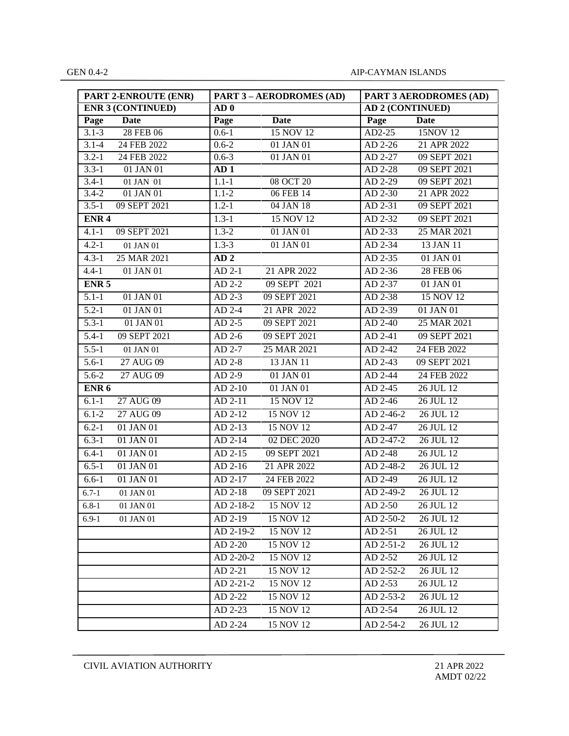| <b>PART 2-ENROUTE (ENR)</b> | <b>PART 3 - AERODROMES (AD)</b> | PART 3 AERODROMES (AD)       |
|-----------------------------|---------------------------------|------------------------------|
| <b>ENR 3 (CONTINUED)</b>    | AD <sub>0</sub>                 | <b>AD 2 (CONTINUED)</b>      |
| Date                        | <b>Date</b>                     | Page                         |
| Page                        | Page                            | <b>Date</b>                  |
| 28 FEB 06                   | $0.6 - 1$                       | 15NOV 12                     |
| $3.1 - 3$                   | 15 NOV 12                       | AD2-25                       |
| $3.1 - 4$                   | $0.6 - 2$                       | $AD$ 2-26                    |
| 24 FEB 2022                 | 01 JAN 01                       | 21 APR 2022                  |
| $3.2 - 1$                   | $0.6 - 3$                       | AD 2-27                      |
| 24 FEB 2022                 | 01 JAN 01                       | 09 SEPT 2021                 |
| $3.3 - 1$<br>01 JAN 01      | AD <sub>1</sub>                 | AD 2-28<br>09 SEPT 2021      |
| $3.4 - 1$                   | $1.1 - 1$                       | 09 SEPT 2021                 |
| 01 JAN 01                   | 08 OCT 20                       | AD 2-29                      |
| 01 JAN 01                   | 06 FEB 14                       | 21 APR 2022                  |
| $3.4 - 2$                   | $1.1 - 2$                       | AD 2-30                      |
| $3.5 - 1$                   | $1.2 - 1$                       | AD 2-31                      |
| 09 SEPT 2021                | 04 JAN 18                       | 09 SEPT 2021                 |
| ENR <sub>4</sub>            | $1.3 - 1$<br>15 NOV 12          | AD 2-32<br>09 SEPT 2021      |
| $4.1 - 1$                   | $1.3 - 2$                       | AD 2-33                      |
| 09 SEPT 2021                | 01 JAN 01                       | 25 MAR 2021                  |
| $4.2 - 1$                   | $1.3 - 3$                       | AD 2-34                      |
| 01 JAN 01                   | 01 JAN 01                       | 13 JAN 11                    |
| $4.3 - 1$<br>25 MAR 2021    | AD <sub>2</sub>                 | AD 2-35<br>01 JAN 01         |
| $4.4 - 1$                   | 21 APR 2022                     | $AD$ 2-36                    |
| 01 JAN 01                   | $AD 2-1$                        | 28 FEB 06                    |
| ENR <sub>5</sub>            | $AD$ 2-2<br>09 SEPT 2021        | AD 2-37<br>01 JAN 01         |
| $5.1 - 1$                   | 09 SEPT 2021                    | AD 2-38                      |
| 01 JAN 01                   | $AD$ 2-3                        | 15 NOV 12                    |
| $5.2 - 1$                   | AD 2-4                          | AD 2-39                      |
| 01 JAN 01                   | 21 APR 2022                     | 01 JAN 01                    |
| $5.3 - 1$                   | 09 SEPT 2021                    | $AD$ 2-40                    |
| 01 JAN 01                   | $AD$ 2-5                        | 25 MAR 2021                  |
| $5.4-1$                     | AD 2-6                          | AD 2-41                      |
| 09 SEPT 2021                | 09 SEPT 2021                    | 09 SEPT 2021                 |
| $5.5 - 1$                   | AD 2-7                          | 24 FEB 2022                  |
| 01 JAN 01                   | 25 MAR 2021                     | AD 2-42                      |
| 27 AUG 09                   | $AD$ 2-8                        | 09 SEPT 2021                 |
| $5.6 - 1$                   | 13 JAN 11                       | $AD$ 2-43                    |
| $5.6 - 2$                   | $AD$ 2-9                        | AD 2-44                      |
| 27 AUG 09                   | 01 JAN 01                       | 24 FEB 2022                  |
| ENR <sub>6</sub>            | AD 2-10<br>01 JAN 01            | AD 2-45<br>26 JUL 12         |
| 27 AUG 09                   | 15 NOV 12                       | 26 JUL 12                    |
| $6.1 - 1$                   | AD 2-11                         | $AD$ 2-46                    |
| 27 AUG 09                   | AD 2-12                         | $AD$ 2-46-2                  |
| $6.1 - 2$                   | 15 NOV 12                       | 26 JUL 12                    |
| $6.2 - 1$                   | 15 NOV 12                       | 26 JUL 12                    |
| 01 JAN 01                   | AD 2-13                         | AD 2-47                      |
| 01 JAN 01                   | $AD$ 2-14                       | 26 JUL 12                    |
| $6.3 - 1$                   | 02 DEC 2020                     | AD 2-47-2                    |
| $6.4 - 1$                   | AD 2-15                         | AD 2-48                      |
| 01 JAN 01                   | 09 SEPT 2021                    | 26 JUL 12                    |
| $6.5 - 1$                   | 21 APR 2022                     | 26 JUL 12                    |
| 01 JAN 01                   | $AD$ 2-16                       | AD 2-48-2                    |
| 01 JAN 01                   | 24 FEB 2022                     | $AD$ 2-49                    |
| $6.6 - 1$                   | AD 2-17                         | 26 JUL 12                    |
| $6.7 - 1$                   | AD 2-18                         | AD 2-49-2                    |
| 01 JAN 01                   | 09 SEPT 2021                    | 26 JUL 12                    |
| $6.8 - 1$                   | $AD 2-18-2$                     | $AD 2-50$                    |
| 01 JAN 01                   | 15 NOV 12                       | 26 JUL 12                    |
| 01 JAN 01                   | 15 NOV 12                       | 26 JUL 12                    |
| $6.9 - 1$                   | $AD$ 2-19                       | $AD$ 2-50-2                  |
|                             | AD 2-19-2<br>15 NOV 12          | $26$ JUL $12$<br>AD 2-51     |
|                             | AD 2-20<br>15 NOV 12            | $AD 2 - 51 - 2$<br>26 JUL 12 |
|                             | AD 2-20-2<br>15 NOV 12          | 26 JUL 12<br>AD 2-52         |
|                             | AD 2-21<br>15 NOV 12            | AD 2-52-2<br>26 JUL 12       |
|                             | 15 NOV 12<br>AD 2-21-2          | AD 2-53<br>26 JUL 12         |
|                             | AD 2-22<br>15 NOV 12            | 26 JUL 12<br>AD 2-53-2       |
|                             | AD 2-23<br>15 NOV 12            | AD 2-54<br>26 JUL 12         |
|                             | AD 2-24<br>15 NOV 12            | AD 2-54-2<br>26 JUL 12       |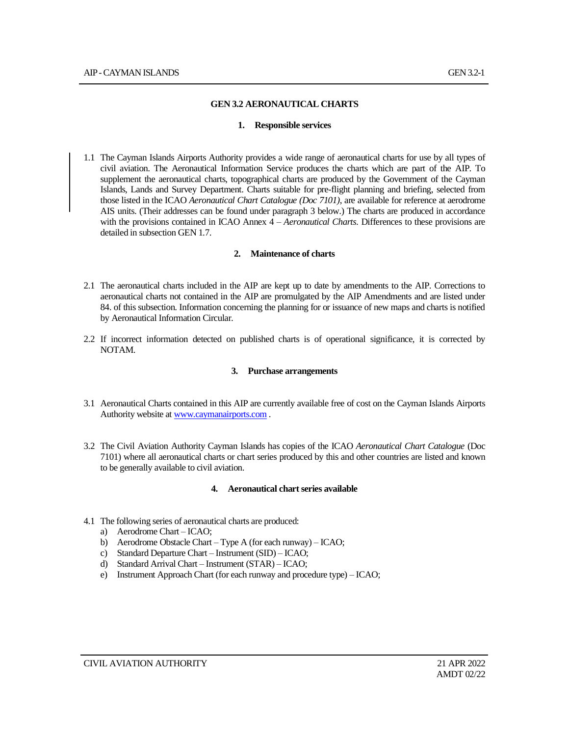#### **GEN 3.2 AERONAUTICAL CHARTS**

#### **1. Responsible services**

1.1 The Cayman Islands Airports Authority provides a wide range of aeronautical charts for use by all types of civil aviation. The Aeronautical Information Service produces the charts which are part of the AIP. To supplement the aeronautical charts, topographical charts are produced by the Government of the Cayman Islands, Lands and Survey Department. Charts suitable for pre-flight planning and briefing, selected from those listed in the ICAO *Aeronautical Chart Catalogue (Doc 7101)*, are available for reference at aerodrome AIS units. (Their addresses can be found under paragraph 3 below.) The charts are produced in accordance with the provisions contained in ICAO Annex 4 – *Aeronautical Charts*. Differences to these provisions are detailed in subsection GEN 1.7.

#### **2. Maintenance of charts**

- 2.1 The aeronautical charts included in the AIP are kept up to date by amendments to the AIP. Corrections to aeronautical charts not contained in the AIP are promulgated by the AIP Amendments and are listed under 84. of this subsection. Information concerning the planning for or issuance of new maps and charts is notified by Aeronautical Information Circular.
- 2.2 If incorrect information detected on published charts is of operational significance, it is corrected by NOTAM.

#### **3. Purchase arrangements**

- 3.1 Aeronautical Charts contained in this AIP are currently available free of cost on the Cayman Islands Airports Authority website a[t www.caymanairports.com](http://www.caymanairports.com/) .
- 3.2 The Civil Aviation Authority Cayman Islands has copies of the ICAO *Aeronautical Chart Catalogue* (Doc 7101) where all aeronautical charts or chart series produced by this and other countries are listed and known to be generally available to civil aviation.

#### **4. Aeronautical chart series available**

- 4.1 The following series of aeronautical charts are produced:
	- a) Aerodrome Chart ICAO;
	- b) Aerodrome Obstacle Chart Type A (for each runway) ICAO;
	- c) Standard Departure Chart Instrument (SID) ICAO;
	- d) Standard Arrival Chart Instrument (STAR) ICAO;
	- e) Instrument Approach Chart (for each runway and procedure type) ICAO;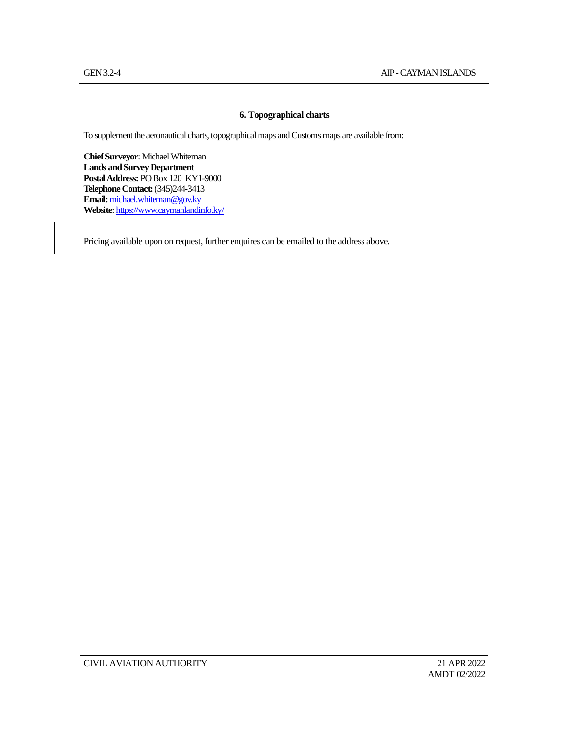#### **6. Topographical charts**

To supplement the aeronautical charts, topographical maps and Customs maps are available from:

**Chief Surveyor**: Michael Whiteman **Lands and Survey Department Postal Address:** PO Box 120 KY1-9000 **Telephone Contact:**(345)244-3413 **Email:**[michael.whiteman@gov.ky](mailto:michael.whiteman@gov.ky) **Website**[: https://www.caymanlandinfo.ky/](https://protect.mimecast-offshore.com/s/SvGPC9QNrWFYz36c3Fa1s?domain=caymanlandinfo.ky/)

Pricing available upon on request, further enquires can be emailed to the address above.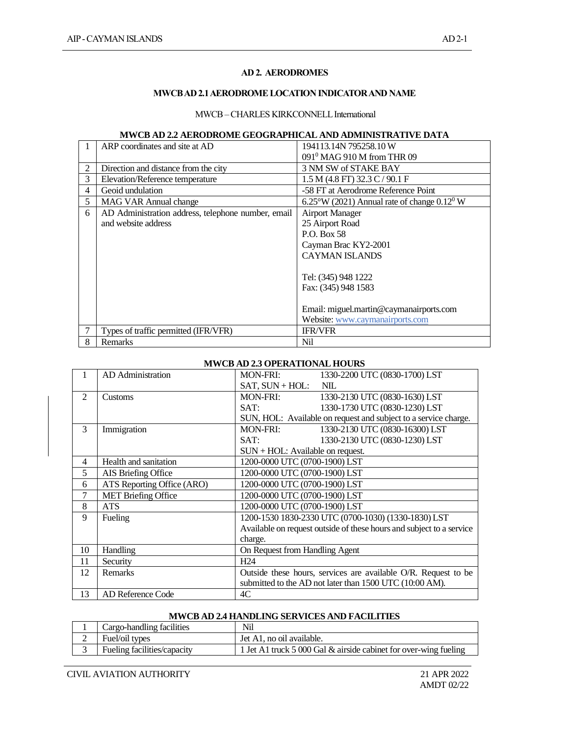#### **AD 2. AERODROMES**

### **MWCB AD 2.1 AERODROME LOCATION INDICATOR AND NAME**

## MWCB-CHARLES KIRKCONNELL International

#### **MWCB AD 2.2 AERODROME GEOGRAPHICAL AND ADMINISTRATIVE DATA**

|   | ARP coordinates and site at AD                     | 194113.14N 795258.10 W                                         |  |
|---|----------------------------------------------------|----------------------------------------------------------------|--|
|   |                                                    | 091 <sup>0</sup> MAG 910 M from THR 09                         |  |
| 2 | Direction and distance from the city               | 3 NM SW of STAKE BAY                                           |  |
| 3 | Elevation/Reference temperature                    | $1.5 M$ (4.8 FT) 32.3 C / 90.1 F                               |  |
| 4 | Geoid undulation                                   | -58 FT at Aerodrome Reference Point                            |  |
| 5 | <b>MAG VAR Annual change</b>                       | $6.25^{\circ}$ W (2021) Annual rate of change $0.12^{\circ}$ W |  |
| 6 | AD Administration address, telephone number, email | <b>Airport Manager</b>                                         |  |
|   | and website address                                | 25 Airport Road                                                |  |
|   |                                                    | P.O. Box 58                                                    |  |
|   |                                                    | Cayman Brac KY2-2001                                           |  |
|   |                                                    | <b>CAYMAN ISLANDS</b>                                          |  |
|   |                                                    |                                                                |  |
|   |                                                    | Tel: (345) 948 1222                                            |  |
|   |                                                    | Fax: (345) 948 1583                                            |  |
|   |                                                    |                                                                |  |
|   |                                                    | Email: miguel.martin@caymanairports.com                        |  |
|   |                                                    | Website: www.caymanairports.com                                |  |
|   | Types of traffic permitted (IFR/VFR)               | <b>IFR/VFR</b>                                                 |  |
| 8 | Remarks                                            | Nil                                                            |  |

### **MWCB AD 2.3 OPERATIONAL HOURS**

| 1              | AD Administration          | <b>MON-FRI:</b>                                                      | 1330-2200 UTC (0830-1700) LST                                   |  |
|----------------|----------------------------|----------------------------------------------------------------------|-----------------------------------------------------------------|--|
|                |                            | $SAT$ , $SUM + HOL$ :                                                | <b>NIL</b>                                                      |  |
| $\overline{c}$ | Customs                    | <b>MON-FRI:</b>                                                      | 1330-2130 UTC (0830-1630) LST                                   |  |
|                |                            | SAT:                                                                 | 1330-1730 UTC (0830-1230) LST                                   |  |
|                |                            |                                                                      | SUN, HOL: Available on request and subject to a service charge. |  |
| 3              | Immigration                | <b>MON-FRI:</b>                                                      | 1330-2130 UTC (0830-16300) LST                                  |  |
|                |                            | SAT:                                                                 | 1330-2130 UTC (0830-1230) LST                                   |  |
|                |                            | $SUM + HOL$ : Available on request.                                  |                                                                 |  |
| $\overline{4}$ | Health and sanitation      | 1200-0000 UTC (0700-1900) LST                                        |                                                                 |  |
| 5              | AIS Briefing Office        | 1200-0000 UTC (0700-1900) LST                                        |                                                                 |  |
| 6              | ATS Reporting Office (ARO) | 1200-0000 UTC (0700-1900) LST                                        |                                                                 |  |
| 7              | <b>MET Briefing Office</b> | 1200-0000 UTC (0700-1900) LST                                        |                                                                 |  |
| 8              | <b>ATS</b>                 | 1200-0000 UTC (0700-1900) LST                                        |                                                                 |  |
| 9              | Fueling                    | 1200-1530 1830-2330 UTC (0700-1030) (1330-1830) LST                  |                                                                 |  |
|                |                            | Available on request outside of these hours and subject to a service |                                                                 |  |
|                |                            | charge.                                                              |                                                                 |  |
| 10             | Handling                   | On Request from Handling Agent                                       |                                                                 |  |
| 11             | Security                   | H <sub>24</sub>                                                      |                                                                 |  |
| 12             | Remarks                    | Outside these hours, services are available O/R. Request to be       |                                                                 |  |
|                |                            | submitted to the AD not later than 1500 UTC (10:00 AM).              |                                                                 |  |
| 13             | <b>AD Reference Code</b>   | 4C                                                                   |                                                                 |  |

### **MWCB AD 2.4 HANDLING SERVICES AND FACILITIES**

| Cargo-handling facilities   | Nil                                                              |
|-----------------------------|------------------------------------------------------------------|
| Fuel/oil types              | Jet A1, no oil available.                                        |
| Fueling facilities/capacity | 1 Jet A1 truck 5 000 Gal & airside cabinet for over-wing fueling |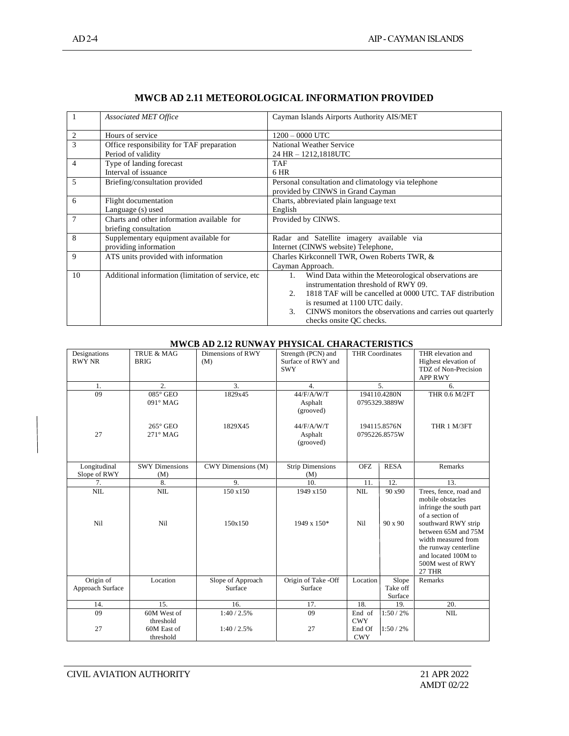| $\mathbf{1}$ | <b>Associated MET Office</b>                        | Cayman Islands Airports Authority AIS/MET                       |  |
|--------------|-----------------------------------------------------|-----------------------------------------------------------------|--|
| 2            | Hours of service                                    | $1200 - 0000$ UTC                                               |  |
| 3            | Office responsibility for TAF preparation           | National Weather Service                                        |  |
|              | Period of validity                                  | 24 HR - 1212,1818UTC                                            |  |
| 4            | Type of landing forecast                            | <b>TAF</b>                                                      |  |
|              | Interval of issuance                                | 6 HR                                                            |  |
| 5            | Briefing/consultation provided                      | Personal consultation and climatology via telephone             |  |
|              |                                                     | provided by CINWS in Grand Cayman                               |  |
| 6            | Flight documentation                                | Charts, abbreviated plain language text                         |  |
|              | Language (s) used                                   | English                                                         |  |
| 7            | Charts and other information available for          | Provided by CINWS.                                              |  |
|              | briefing consultation                               |                                                                 |  |
| 8            | Supplementary equipment available for               | Radar and Satellite imagery available via                       |  |
|              | providing information                               | Internet (CINWS website) Telephone,                             |  |
| 9            | ATS units provided with information                 | Charles Kirkconnell TWR, Owen Roberts TWR, &                    |  |
|              |                                                     | Cayman Approach.                                                |  |
| 10           | Additional information (limitation of service, etc. | Wind Data within the Meteorological observations are<br>1.      |  |
|              |                                                     | instrumentation threshold of RWY 09.                            |  |
|              |                                                     | 1818 TAF will be cancelled at 0000 UTC. TAF distribution<br>2   |  |
|              |                                                     | is resumed at 1100 UTC daily.                                   |  |
|              |                                                     | CINWS monitors the observations and carries out quarterly<br>3. |  |
|              |                                                     | checks onsite QC checks.                                        |  |

## **MWCB AD 2.11 METEOROLOGICAL INFORMATION PROVIDED**

#### **MWCB AD 2.12 RUNWAY PHYSICAL CHARACTERISTICS**

| Designations<br><b>RWY NR</b> | <b>TRUE &amp; MAG</b><br><b>BRIG</b> | Dimensions of RWY<br>(M)     | Strength (PCN) and<br>Surface of RWY and<br><b>SWY</b> | <b>THR Coordinates</b> |                               | THR elevation and<br>Highest elevation of<br>TDZ of Non-Precision<br><b>APP RWY</b>                                                                                                                                                         |
|-------------------------------|--------------------------------------|------------------------------|--------------------------------------------------------|------------------------|-------------------------------|---------------------------------------------------------------------------------------------------------------------------------------------------------------------------------------------------------------------------------------------|
| 1.                            | 2.                                   | 3.                           | $\overline{4}$ .                                       |                        | 5.                            | 6.                                                                                                                                                                                                                                          |
| 09                            | $085^\circ$ GEO<br>091° MAG          | 1829x45                      | 44/F/A/W/T<br>Asphalt<br>(grooved)                     |                        | 194110.4280N<br>0795329.3889W | <b>THR 0.6 M/2FT</b>                                                                                                                                                                                                                        |
| 27                            | $265^\circ$ GEO<br>$271^\circ$ MAG   | 1829X45                      | 44/F/A/W/T<br>Asphalt<br>(grooved)                     |                        | 194115.8576N<br>0795226.8575W | THR 1 M/3FT                                                                                                                                                                                                                                 |
| Longitudinal<br>Slope of RWY  | <b>SWY Dimensions</b><br>(M)         | CWY Dimensions (M)           | <b>Strip Dimensions</b><br>(M)                         | <b>OFZ</b>             | <b>RESA</b>                   | Remarks                                                                                                                                                                                                                                     |
| 7.                            | 8.                                   | 9.                           | 10.                                                    | 11.                    | 12.                           | 13.                                                                                                                                                                                                                                         |
| <b>NIL</b><br>Nil             | <b>NIL</b><br>Ni1                    | 150 x150<br>150x150          | 1949 x150<br>1949 x 150*                               | <b>NIL</b><br>Nil      | 90 x90<br>$90 \times 90$      | Trees, fence, road and<br>mobile obstacles<br>infringe the south part<br>of a section of<br>southward RWY strip<br>between 65M and 75M<br>width measured from<br>the runway centerline<br>and located 100M to<br>500M west of RWY<br>27 THR |
| Origin of<br>Approach Surface | Location                             | Slope of Approach<br>Surface | Origin of Take -Off<br>Surface                         | Location               | Slope<br>Take off<br>Surface  | Remarks                                                                                                                                                                                                                                     |
| 14.                           | 15.                                  | 16.                          | 17.                                                    | 18.                    | 19.                           | 20.                                                                                                                                                                                                                                         |
| 09                            | 60M West of<br>threshold             | 1:40/2.5%                    | 09                                                     | End of<br><b>CWY</b>   | 1:50/2%                       | <b>NIL</b>                                                                                                                                                                                                                                  |
| 27                            | 60M East of<br>threshold             | 1:40/2.5%                    | 27                                                     | End Of<br><b>CWY</b>   | 1:50/2%                       |                                                                                                                                                                                                                                             |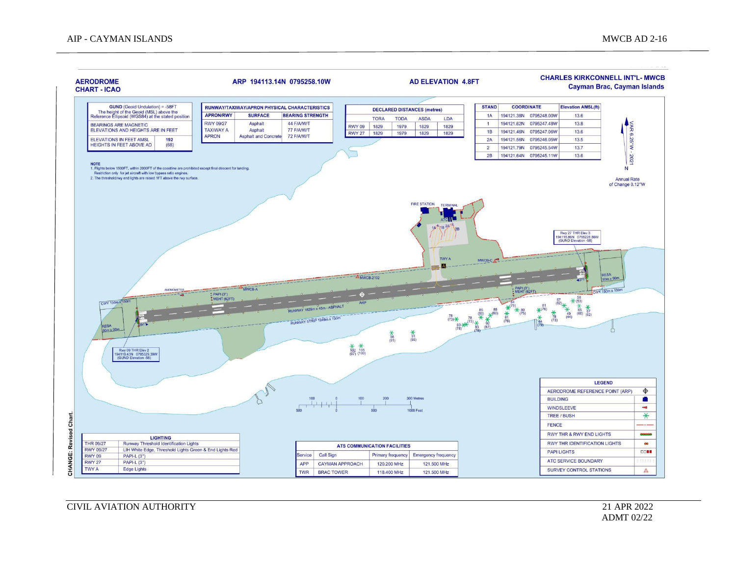

CIVIL AVIATION AUTHORITY 21 APR 2022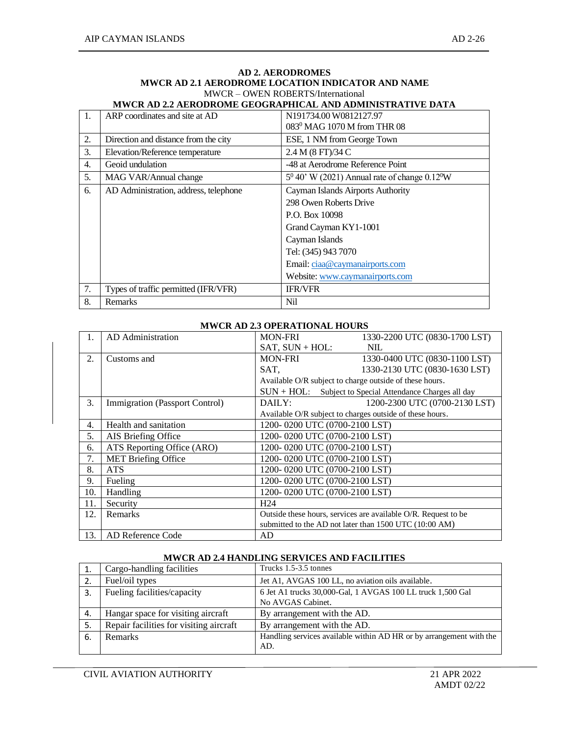|                  | MWCR AD 2.2 AERODROME GEOGRAPHICAL AND ADMINISTRATIVE DATA |                                                              |  |  |  |  |
|------------------|------------------------------------------------------------|--------------------------------------------------------------|--|--|--|--|
| $\mathbf{1}$ .   | ARP coordinates and site at AD                             | N <sub>191734.00</sub> W <sub>0812127.97</sub>               |  |  |  |  |
|                  |                                                            | 083 <sup>0</sup> MAG 1070 M from THR 08                      |  |  |  |  |
| 2.               | Direction and distance from the city                       | ESE, 1 NM from George Town                                   |  |  |  |  |
| 3.               | Elevation/Reference temperature                            | 2.4 M (8 FT)/34 C                                            |  |  |  |  |
| $\overline{4}$ . | Geoid undulation                                           | -48 at Aerodrome Reference Point                             |  |  |  |  |
| 5.               | MAG VAR/Annual change                                      | $5^0$ 40' W (2021) Annual rate of change 0.12 <sup>0</sup> W |  |  |  |  |
| 6.               | AD Administration, address, telephone                      | Cayman Islands Airports Authority                            |  |  |  |  |
|                  |                                                            | 298 Owen Roberts Drive                                       |  |  |  |  |
|                  |                                                            | P.O. Box 10098                                               |  |  |  |  |
|                  |                                                            | Grand Cayman KY1-1001                                        |  |  |  |  |
|                  |                                                            | Cayman Islands                                               |  |  |  |  |
|                  |                                                            | Tel: (345) 943 7070                                          |  |  |  |  |
|                  |                                                            | Email: ciaa@caymanairports.com                               |  |  |  |  |
|                  |                                                            | Website: www.caymanairports.com                              |  |  |  |  |
| 7.               | Types of traffic permitted (IFR/VFR)                       | <b>IFR/VFR</b>                                               |  |  |  |  |
| 8.               | Remarks                                                    | Nil                                                          |  |  |  |  |

#### **AD 2. AERODROMES MWCR AD 2.1 AERODROME LOCATION INDICATOR AND NAME** MWCR – OWEN ROBERTS/International

#### **MWCR AD 2.3 OPERATIONAL HOURS**

| 1.  | AD Administration              | <b>MON-FRI</b>                                           | 1330-2200 UTC (0830-1700 LST)                                  |  |
|-----|--------------------------------|----------------------------------------------------------|----------------------------------------------------------------|--|
|     |                                | SAT, SUN + HOL:                                          | <b>NIL</b>                                                     |  |
| 2.  | Customs and                    | <b>MON-FRI</b>                                           | 1330-0400 UTC (0830-1100 LST)                                  |  |
|     |                                | SAT,                                                     | 1330-2130 UTC (0830-1630 LST)                                  |  |
|     |                                | Available O/R subject to charge outside of these hours.  |                                                                |  |
|     |                                |                                                          | SUN + HOL: Subject to Special Attendance Charges all day       |  |
| 3.  | Immigration (Passport Control) | DAILY:                                                   | 1200-2300 UTC (0700-2130 LST)                                  |  |
|     |                                | Available O/R subject to charges outside of these hours. |                                                                |  |
| 4.  | Health and sanitation          | 1200-0200 UTC (0700-2100 LST)                            |                                                                |  |
| 5.  | AIS Briefing Office            | 1200-0200 UTC (0700-2100 LST)                            |                                                                |  |
| 6.  | ATS Reporting Office (ARO)     | 1200-0200 UTC (0700-2100 LST)                            |                                                                |  |
| 7.  | <b>MET Briefing Office</b>     | 1200-0200 UTC (0700-2100 LST)                            |                                                                |  |
| 8.  | <b>ATS</b>                     | 1200-0200 UTC (0700-2100 LST)                            |                                                                |  |
| 9.  | Fueling                        | 1200-0200 UTC (0700-2100 LST)                            |                                                                |  |
| 10. | Handling                       | 1200-0200 UTC (0700-2100 LST)                            |                                                                |  |
| 11. | Security                       | H <sub>24</sub>                                          |                                                                |  |
| 12. | Remarks                        |                                                          | Outside these hours, services are available O/R. Request to be |  |
|     |                                |                                                          | submitted to the AD not later than 1500 UTC (10:00 AM)         |  |
| 13. | AD Reference Code              | AD.                                                      |                                                                |  |

## **MWCR AD 2.4 HANDLING SERVICES AND FACILITIES**

|    | Cargo-handling facilities                                                                 | Trucks 1.5-3.5 tonnes                                               |  |  |
|----|-------------------------------------------------------------------------------------------|---------------------------------------------------------------------|--|--|
| 2. | Fuel/oil types                                                                            | Jet A1, AVGAS 100 LL, no aviation oils available.                   |  |  |
| 3. | 6 Jet A1 trucks 30,000-Gal, 1 AVGAS 100 LL truck 1,500 Gal<br>Fueling facilities/capacity |                                                                     |  |  |
|    |                                                                                           | No AVGAS Cabinet.                                                   |  |  |
| 4. | Hangar space for visiting aircraft                                                        | By arrangement with the AD.                                         |  |  |
| 5. | Repair facilities for visiting aircraft                                                   | By arrangement with the AD.                                         |  |  |
| 6. | <b>Remarks</b>                                                                            | Handling services available within AD HR or by arrangement with the |  |  |
|    |                                                                                           | AD.                                                                 |  |  |